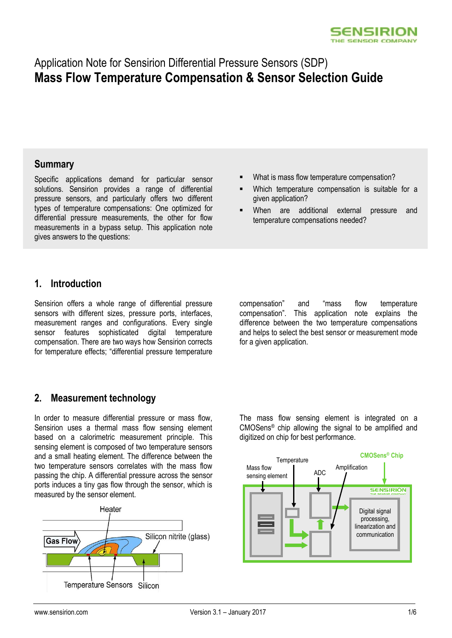

# Application Note for Sensirion Differential Pressure Sensors (SDP) **Mass Flow Temperature Compensation & Sensor Selection Guide**

### **Summary**

Specific applications demand for particular sensor solutions. Sensirion provides a range of differential pressure sensors, and particularly offers two different types of temperature compensations: One optimized for differential pressure measurements, the other for flow measurements in a bypass setup. This application note gives answers to the questions:

- What is mass flow temperature compensation?
- Which temperature compensation is suitable for a given application?
- When are additional external pressure and temperature compensations needed?

### **1. Introduction**

Sensirion offers a whole range of differential pressure sensors with different sizes, pressure ports, interfaces, measurement ranges and configurations. Every single sensor features sophisticated digital temperature compensation. There are two ways how Sensirion corrects for temperature effects; "differential pressure temperature

compensation" and "mass flow temperature compensation". This application note explains the difference between the two temperature compensations and helps to select the best sensor or measurement mode for a given application.

## <span id="page-0-0"></span>**2. Measurement technology**

In order to measure differential pressure or mass flow, Sensirion uses a thermal mass flow sensing element based on a calorimetric measurement principle. This sensing element is composed of two temperature sensors and a small heating element. The difference between the two temperature sensors correlates with the mass flow passing the chip. A differential pressure across the sensor ports induces a tiny gas flow through the sensor, which is measured by the sensor element.



The mass flow sensing element is integrated on a CMOSens® chip allowing the signal to be amplified and digitized on chip for best performance.

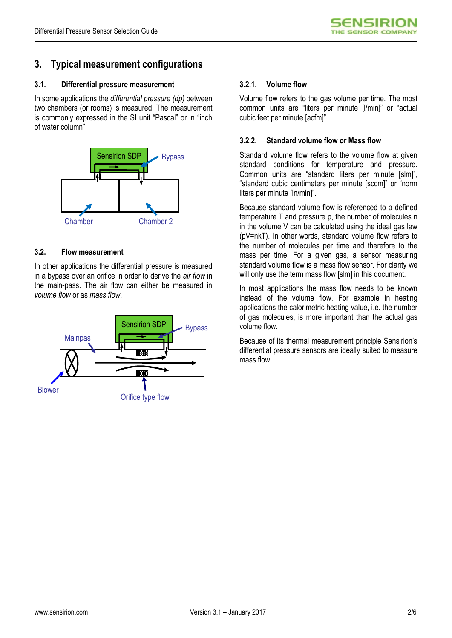# **3. Typical measurement configurations**

#### **3.1. Differential pressure measurement**

In some applications the *differential pressure (dp)* between two chambers (or rooms) is measured. The measurement is commonly expressed in the SI unit "Pascal" or in "inch of water column".



#### **3.2. Flow measurement**

In other applications the differential pressure is measured in a bypass over an orifice in order to derive the *air flow* in the main-pass. The air flow can either be measured in *volume flow* or as *mass flow*.



#### **3.2.1. Volume flow**

Volume flow refers to the gas volume per time. The most common units are "liters per minute [l/min]" or "actual cubic feet per minute [acfm]".

#### **3.2.2. Standard volume flow or Mass flow**

Standard volume flow refers to the volume flow at given standard conditions for temperature and pressure. Common units are "standard liters per minute [slm]", "standard cubic centimeters per minute [sccm]" or "norm liters per minute [ln/min]".

Because standard volume flow is referenced to a defined temperature T and pressure p, the number of molecules n in the volume V can be calculated using the ideal gas law (pV=nkT). In other words, standard volume flow refers to the number of molecules per time and therefore to the mass per time. For a given gas, a sensor measuring standard volume flow is a mass flow sensor. For clarity we will only use the term mass flow [slm] in this document.

In most applications the mass flow needs to be known instead of the volume flow. For example in heating applications the calorimetric heating value, i.e. the number of gas molecules, is more important than the actual gas volume flow.

Because of its thermal measurement principle Sensirion's differential pressure sensors are ideally suited to measure mass flow.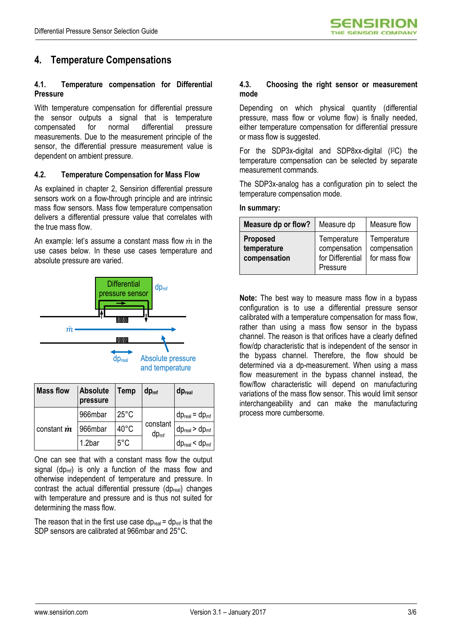# **4. Temperature Compensations**

#### **4.1. Temperature compensation for Differential Pressure**

With temperature compensation for differential pressure the sensor outputs a signal that is temperature compensated for normal differential pressure measurements. Due to the measurement principle of the sensor, the differential pressure measurement value is dependent on ambient pressure.

#### **4.2. Temperature Compensation for Mass Flow**

As explained in chapter [2,](#page-0-0) Sensirion differential pressure sensors work on a flow-through principle and are intrinsic mass flow sensors. Mass flow temperature compensation delivers a differential pressure value that correlates with the true mass flow.

An example: let's assume a constant mass flow  $\dot{m}$  in the use cases below. In these use cases temperature and absolute pressure are varied.



| and temperature |  |
|-----------------|--|
|-----------------|--|

| <b>Mass flow</b>   | <b>Absolute</b><br>pressure | <b>Temp</b>    | $dp_{\text{mf}}$             | dp <sub>real</sub>                    |
|--------------------|-----------------------------|----------------|------------------------------|---------------------------------------|
| constant <i>in</i> | 966mbar                     | $25^{\circ}$ C | constant<br>$dp_{\text{mf}}$ | $dp_{\text{real}} = dp_{\text{mf}}$   |
|                    | 966mbar                     | $40^{\circ}$ C |                              | $dp_{\text{real}}$ > $dp_{\text{mf}}$ |
|                    | 1.2bar                      | $5^{\circ}$ C  |                              | $dp_{\text{real}} < dp_{\text{mf}}$   |

One can see that with a constant mass flow the output signal  $(dp_{mf})$  is only a function of the mass flow and otherwise independent of temperature and pressure. In contrast the actual differential pressure (dp<sub>real</sub>) changes with temperature and pressure and is thus not suited for determining the mass flow.

The reason that in the first use case  $dp_{\text{real}} = dp_{\text{mf}}$  is that the SDP sensors are calibrated at 966mbar and 25°C.

#### **4.3. Choosing the right sensor or measurement mode**

Depending on which physical quantity (differential pressure, mass flow or volume flow) is finally needed, either temperature compensation for differential pressure or mass flow is suggested.

For the SDP3x-digital and SDP8xx-digital (I2C) the temperature compensation can be selected by separate measurement commands.

The SDP3x-analog has a configuration pin to select the temperature compensation mode.

#### **In summary:**

| Measure dp or flow?                            | Measure dp                                                  | Measure flow                                 |
|------------------------------------------------|-------------------------------------------------------------|----------------------------------------------|
| <b>Proposed</b><br>temperature<br>compensation | Temperature<br>compensation<br>for Differential<br>Pressure | Temperature<br>compensation<br>for mass flow |

**Note:** The best way to measure mass flow in a bypass configuration is to use a differential pressure sensor calibrated with a temperature compensation for mass flow, rather than using a mass flow sensor in the bypass channel. The reason is that orifices have a clearly defined flow/dp characteristic that is independent of the sensor in the bypass channel. Therefore, the flow should be determined via a dp-measurement. When using a mass flow measurement in the bypass channel instead, the flow/flow characteristic will depend on manufacturing variations of the mass flow sensor. This would limit sensor interchangeability and can make the manufacturing process more cumbersome.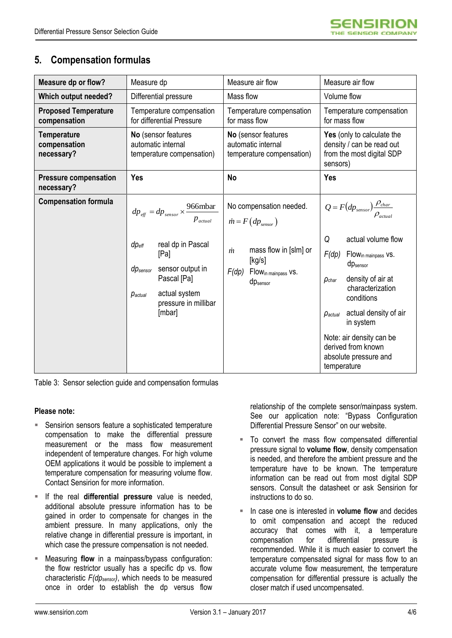## **5. Compensation formulas**

| Measure dp or flow?                              | Measure dp                                                                                                                                                                   | Measure air flow                                                                                                 | Measure air flow                                                                                                                                                                                                                                                                                                       |  |
|--------------------------------------------------|------------------------------------------------------------------------------------------------------------------------------------------------------------------------------|------------------------------------------------------------------------------------------------------------------|------------------------------------------------------------------------------------------------------------------------------------------------------------------------------------------------------------------------------------------------------------------------------------------------------------------------|--|
| Which output needed?                             | Differential pressure                                                                                                                                                        | Mass flow                                                                                                        | Volume flow                                                                                                                                                                                                                                                                                                            |  |
| <b>Proposed Temperature</b><br>compensation      | Temperature compensation<br>for differential Pressure                                                                                                                        | Temperature compensation<br>for mass flow                                                                        | Temperature compensation<br>for mass flow                                                                                                                                                                                                                                                                              |  |
| <b>Temperature</b><br>compensation<br>necessary? | No (sensor features<br>automatic internal<br>temperature compensation)                                                                                                       | No (sensor features<br>automatic internal<br>temperature compensation)                                           | Yes (only to calculate the<br>density / can be read out<br>from the most digital SDP<br>sensors)                                                                                                                                                                                                                       |  |
| <b>Pressure compensation</b><br>necessary?       | Yes                                                                                                                                                                          | No                                                                                                               | Yes                                                                                                                                                                                                                                                                                                                    |  |
| <b>Compensation formula</b>                      | $dp_{\text{eff}} = dp_{\text{sensor}} \times \frac{966 \text{mbar}}{1}$<br>$p_{actual}$                                                                                      | No compensation needed.<br>$\dot{m} = F(dp_{\text{sensor}})$                                                     | $Q = F(dp_{sensor})\frac{\rho_{char}}{\rho_{actual}}$                                                                                                                                                                                                                                                                  |  |
|                                                  | real dp in Pascal<br>$dp_{\text{eff}}$<br>[Pa]<br>sensor output in<br>dp <sub>sensor</sub><br>Pascal [Pa]<br>actual system<br>$p_{actual}$<br>pressure in millibar<br>[mbar] | mass flow in [slm] or<br>$\dot{m}$<br>[kg/s]<br>F(dp)<br>Flow <sub>in mainpass</sub> vs.<br>dp <sub>sensor</sub> | Q<br>actual volume flow<br>F(dp)<br>Flow <sub>in mainpass</sub> vs.<br>dp <sub>sensor</sub><br>density of air at<br>$\rho_{char}$<br>characterization<br>conditions<br>actual density of air<br>$\rho_{actual}$<br>in system<br>Note: air density can be<br>derived from known<br>absolute pressure and<br>temperature |  |

Table 3: Sensor selection guide and compensation formulas

#### **Please note:**

- Sensirion sensors feature a sophisticated temperature compensation to make the differential pressure measurement or the mass flow measurement independent of temperature changes. For high volume OEM applications it would be possible to implement a temperature compensation for measuring volume flow. Contact Sensirion for more information.
- If the real **differential pressure** value is needed, additional absolute pressure information has to be gained in order to compensate for changes in the ambient pressure. In many applications, only the relative change in differential pressure is important, in which case the pressure compensation is not needed.
- Measuring **flow** in a mainpass/bypass configuration: the flow restrictor usually has a specific dp vs. flow characteristic *F(dpsensor)*, which needs to be measured once in order to establish the dp versus flow

relationship of the complete sensor/mainpass system. See our application note: "Bypass Configuration Differential Pressure Sensor" on our website.

- To convert the mass flow compensated differential pressure signal to **volume flow**, density compensation is needed, and therefore the ambient pressure and the temperature have to be known. The temperature information can be read out from most digital SDP sensors. Consult the datasheet or ask Sensirion for instructions to do so.
- In case one is interested in **volume flow** and decides to omit compensation and accept the reduced accuracy that comes with it, a temperature compensation for differential pressure is recommended. While it is much easier to convert the temperature compensated signal for mass flow to an accurate volume flow measurement, the temperature compensation for differential pressure is actually the closer match if used uncompensated.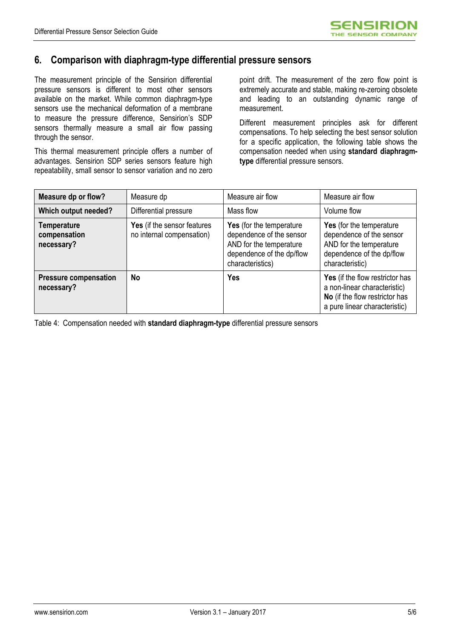### **6. Comparison with diaphragm-type differential pressure sensors**

The measurement principle of the Sensirion differential pressure sensors is different to most other sensors available on the market. While common diaphragm-type sensors use the mechanical deformation of a membrane to measure the pressure difference, Sensirion's SDP sensors thermally measure a small air flow passing through the sensor.

This thermal measurement principle offers a number of advantages. Sensirion SDP series sensors feature high repeatability, small sensor to sensor variation and no zero

point drift. The measurement of the zero flow point is extremely accurate and stable, making re-zeroing obsolete and leading to an outstanding dynamic range of measurement.

Different measurement principles ask for different compensations. To help selecting the best sensor solution for a specific application, the following table shows the compensation needed when using **standard diaphragmtype** differential pressure sensors.

| Measure dp or flow?                              | Measure dp                                               | Measure air flow                                                                                                                 | Measure air flow                                                                                                                   |
|--------------------------------------------------|----------------------------------------------------------|----------------------------------------------------------------------------------------------------------------------------------|------------------------------------------------------------------------------------------------------------------------------------|
| Which output needed?                             | Differential pressure                                    | Mass flow                                                                                                                        | Volume flow                                                                                                                        |
| <b>Temperature</b><br>compensation<br>necessary? | Yes (if the sensor features<br>no internal compensation) | Yes (for the temperature<br>dependence of the sensor<br>AND for the temperature<br>dependence of the dp/flow<br>characteristics) | Yes (for the temperature<br>dependence of the sensor<br>AND for the temperature<br>dependence of the dp/flow<br>characteristic)    |
| <b>Pressure compensation</b><br>necessary?       | No                                                       | <b>Yes</b>                                                                                                                       | Yes (if the flow restrictor has<br>a non-linear characteristic)<br>No (if the flow restrictor has<br>a pure linear characteristic) |

Table 4: Compensation needed with **standard diaphragm-type** differential pressure sensors